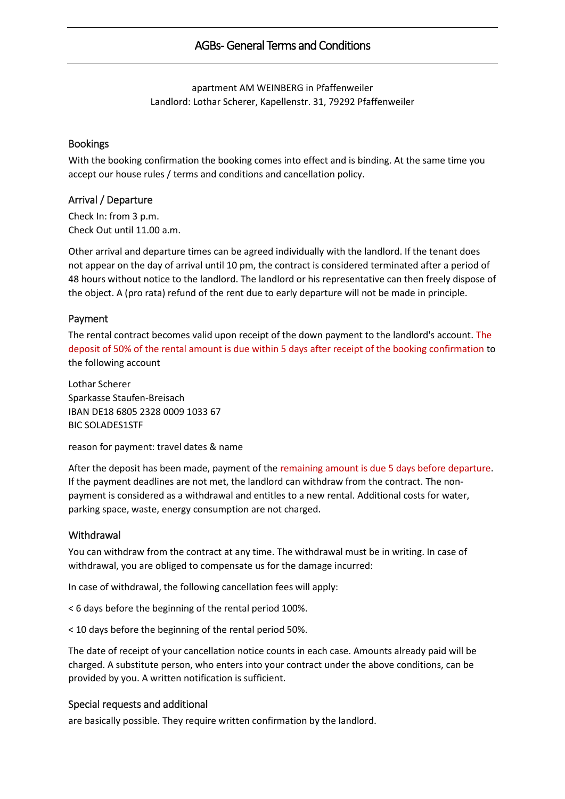# AGBs- General Terms and Conditions

apartment AM WEINBERG in Pfaffenweiler Landlord: Lothar Scherer, Kapellenstr. 31, 79292 Pfaffenweiler

#### Bookings

With the booking confirmation the booking comes into effect and is binding. At the same time you accept our house rules / terms and conditions and cancellation policy.

#### Arrival / Departure

Check In: from 3 p.m. Check Out until 11.00 a.m.

Other arrival and departure times can be agreed individually with the landlord. If the tenant does not appear on the day of arrival until 10 pm, the contract is considered terminated after a period of 48 hours without notice to the landlord. The landlord or his representative can then freely dispose of the object. A (pro rata) refund of the rent due to early departure will not be made in principle.

### Payment

The rental contract becomes valid upon receipt of the down payment to the landlord's account. The deposit of 50% of the rental amount is due within 5 days after receipt of the booking confirmation to the following account

Lothar Scherer Sparkasse Staufen-Breisach IBAN DE18 6805 2328 0009 1033 67 BIC SOLADES1STF

reason for payment: travel dates & name

After the deposit has been made, payment of the remaining amount is due 5 days before departure. If the payment deadlines are not met, the landlord can withdraw from the contract. The nonpayment is considered as a withdrawal and entitles to a new rental. Additional costs for water, parking space, waste, energy consumption are not charged.

#### **Withdrawal**

You can withdraw from the contract at any time. The withdrawal must be in writing. In case of withdrawal, you are obliged to compensate us for the damage incurred:

In case of withdrawal, the following cancellation fees will apply:

< 6 days before the beginning of the rental period 100%.

< 10 days before the beginning of the rental period 50%.

The date of receipt of your cancellation notice counts in each case. Amounts already paid will be charged. A substitute person, who enters into your contract under the above conditions, can be provided by you. A written notification is sufficient.

#### Special requests and additional

are basically possible. They require written confirmation by the landlord.